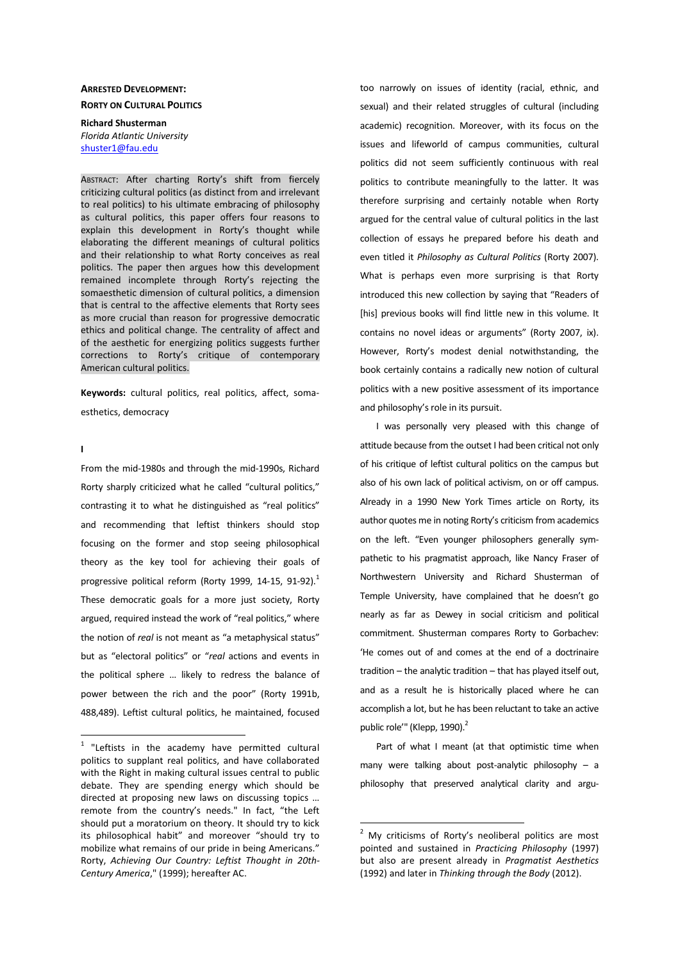# ARRESTED DEVELOPMENT: RORTY ON CULTURAL POLITICS

Richard Shusterman Florida Atlantic University shuster1@fau.edu

ABSTRACT: After charting Rorty's shift from fiercely criticizing cultural politics (as distinct from and irrelevant to real politics) to his ultimate embracing of philosophy as cultural politics, this paper offers four reasons to explain this development in Rorty's thought while elaborating the different meanings of cultural politics and their relationship to what Rorty conceives as real politics. The paper then argues how this development remained incomplete through Rorty's rejecting the somaesthetic dimension of cultural politics, a dimension that is central to the affective elements that Rorty sees as more crucial than reason for progressive democratic ethics and political change. The centrality of affect and of the aesthetic for energizing politics suggests further corrections to Rorty's critique of contemporary American cultural politics.

Keywords: cultural politics, real politics, affect, somaesthetics, democracy

### I

 $\overline{a}$ 

From the mid-1980s and through the mid-1990s, Richard Rorty sharply criticized what he called "cultural politics," contrasting it to what he distinguished as "real politics" and recommending that leftist thinkers should stop focusing on the former and stop seeing philosophical theory as the key tool for achieving their goals of progressive political reform (Rorty 1999, 14-15, 91-92).<sup>1</sup> These democratic goals for a more just society, Rorty argued, required instead the work of "real politics," where the notion of real is not meant as "a metaphysical status" but as "electoral politics" or "real actions and events in the political sphere … likely to redress the balance of power between the rich and the poor" (Rorty 1991b, 488,489). Leftist cultural politics, he maintained, focused too narrowly on issues of identity (racial, ethnic, and sexual) and their related struggles of cultural (including academic) recognition. Moreover, with its focus on the issues and lifeworld of campus communities, cultural politics did not seem sufficiently continuous with real politics to contribute meaningfully to the latter. It was therefore surprising and certainly notable when Rorty argued for the central value of cultural politics in the last collection of essays he prepared before his death and even titled it Philosophy as Cultural Politics (Rorty 2007). What is perhaps even more surprising is that Rorty introduced this new collection by saying that "Readers of [his] previous books will find little new in this volume. It contains no novel ideas or arguments" (Rorty 2007, ix). However, Rorty's modest denial notwithstanding, the book certainly contains a radically new notion of cultural politics with a new positive assessment of its importance and philosophy's role in its pursuit.

I was personally very pleased with this change of attitude because from the outset I had been critical not only of his critique of leftist cultural politics on the campus but also of his own lack of political activism, on or off campus. Already in a 1990 New York Times article on Rorty, its author quotes me in noting Rorty's criticism from academics on the left. "Even younger philosophers generally sympathetic to his pragmatist approach, like Nancy Fraser of Northwestern University and Richard Shusterman of Temple University, have complained that he doesn't go nearly as far as Dewey in social criticism and political commitment. Shusterman compares Rorty to Gorbachev: 'He comes out of and comes at the end of a doctrinaire tradition – the analytic tradition – that has played itself out, and as a result he is historically placed where he can accomplish a lot, but he has been reluctant to take an active public role'" (Klepp, 1990).<sup>2</sup>

Part of what I meant (at that optimistic time when many were talking about post-analytic philosophy – a philosophy that preserved analytical clarity and argu-

-

 $1$  "Leftists in the academy have permitted cultural politics to supplant real politics, and have collaborated with the Right in making cultural issues central to public debate. They are spending energy which should be directed at proposing new laws on discussing topics … remote from the country's needs." In fact, "the Left should put a moratorium on theory. It should try to kick its philosophical habit" and moreover "should try to mobilize what remains of our pride in being Americans." Rorty, Achieving Our Country: Leftist Thought in 20th-Century America," (1999); hereafter AC.

<sup>2</sup> My criticisms of Rorty's neoliberal politics are most pointed and sustained in Practicing Philosophy (1997) but also are present already in Pragmatist Aesthetics (1992) and later in Thinking through the Body (2012).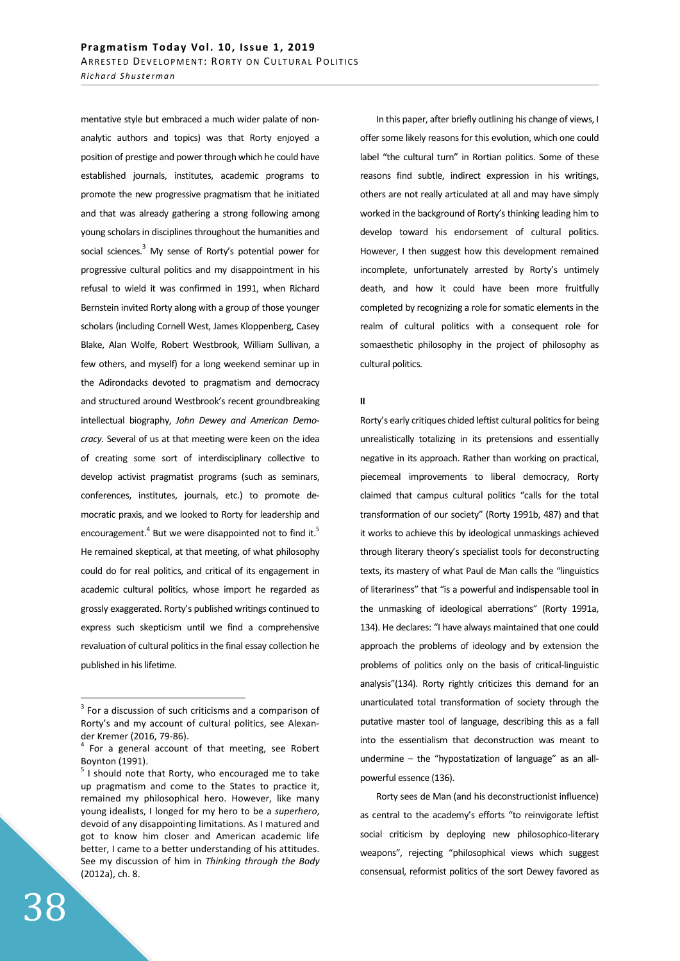mentative style but embraced a much wider palate of nonanalytic authors and topics) was that Rorty enjoyed a position of prestige and power through which he could have established journals, institutes, academic programs to promote the new progressive pragmatism that he initiated and that was already gathering a strong following among young scholars in disciplines throughout the humanities and social sciences.<sup>3</sup> My sense of Rorty's potential power for progressive cultural politics and my disappointment in his refusal to wield it was confirmed in 1991, when Richard Bernstein invited Rorty along with a group of those younger scholars (including Cornell West, James Kloppenberg, Casey Blake, Alan Wolfe, Robert Westbrook, William Sullivan, a few others, and myself) for a long weekend seminar up in the Adirondacks devoted to pragmatism and democracy and structured around Westbrook's recent groundbreaking intellectual biography, John Dewey and American Democracy. Several of us at that meeting were keen on the idea of creating some sort of interdisciplinary collective to develop activist pragmatist programs (such as seminars, conferences, institutes, journals, etc.) to promote democratic praxis, and we looked to Rorty for leadership and encouragement.<sup>4</sup> But we were disappointed not to find it.<sup>5</sup> He remained skeptical, at that meeting, of what philosophy could do for real politics, and critical of its engagement in academic cultural politics, whose import he regarded as grossly exaggerated. Rorty's published writings continued to express such skepticism until we find a comprehensive revaluation of cultural politics in the final essay collection he published in his lifetime.

In this paper, after briefly outlining his change of views, I offer some likely reasons for this evolution, which one could label "the cultural turn" in Rortian politics. Some of these reasons find subtle, indirect expression in his writings, others are not really articulated at all and may have simply worked in the background of Rorty's thinking leading him to develop toward his endorsement of cultural politics. However, I then suggest how this development remained incomplete, unfortunately arrested by Rorty's untimely death, and how it could have been more fruitfully completed by recognizing a role for somatic elements in the realm of cultural politics with a consequent role for somaesthetic philosophy in the project of philosophy as cultural politics.

### II

Rorty's early critiques chided leftist cultural politics for being unrealistically totalizing in its pretensions and essentially negative in its approach. Rather than working on practical, piecemeal improvements to liberal democracy, Rorty claimed that campus cultural politics "calls for the total transformation of our society" (Rorty 1991b, 487) and that it works to achieve this by ideological unmaskings achieved through literary theory's specialist tools for deconstructing texts, its mastery of what Paul de Man calls the "linguistics of literariness" that "is a powerful and indispensable tool in the unmasking of ideological aberrations" (Rorty 1991a, 134). He declares: "I have always maintained that one could approach the problems of ideology and by extension the problems of politics only on the basis of critical-linguistic analysis"(134). Rorty rightly criticizes this demand for an unarticulated total transformation of society through the putative master tool of language, describing this as a fall into the essentialism that deconstruction was meant to undermine – the "hypostatization of language" as an allpowerful essence (136).

Rorty sees de Man (and his deconstructionist influence) as central to the academy's efforts "to reinvigorate leftist social criticism by deploying new philosophico-literary weapons", rejecting "philosophical views which suggest consensual, reformist politics of the sort Dewey favored as

 $\overline{a}$ 

 $3$  For a discussion of such criticisms and a comparison of Rorty's and my account of cultural politics, see Alexander Kremer (2016, 79-86).

<sup>&</sup>lt;sup>4</sup> For a general account of that meeting, see Robert Boynton (1991).

 $5$  I should note that Rorty, who encouraged me to take up pragmatism and come to the States to practice it, remained my philosophical hero. However, like many young idealists, I longed for my hero to be a superhero, devoid of any disappointing limitations. As I matured and got to know him closer and American academic life better, I came to a better understanding of his attitudes. See my discussion of him in Thinking through the Body (2012a), ch. 8.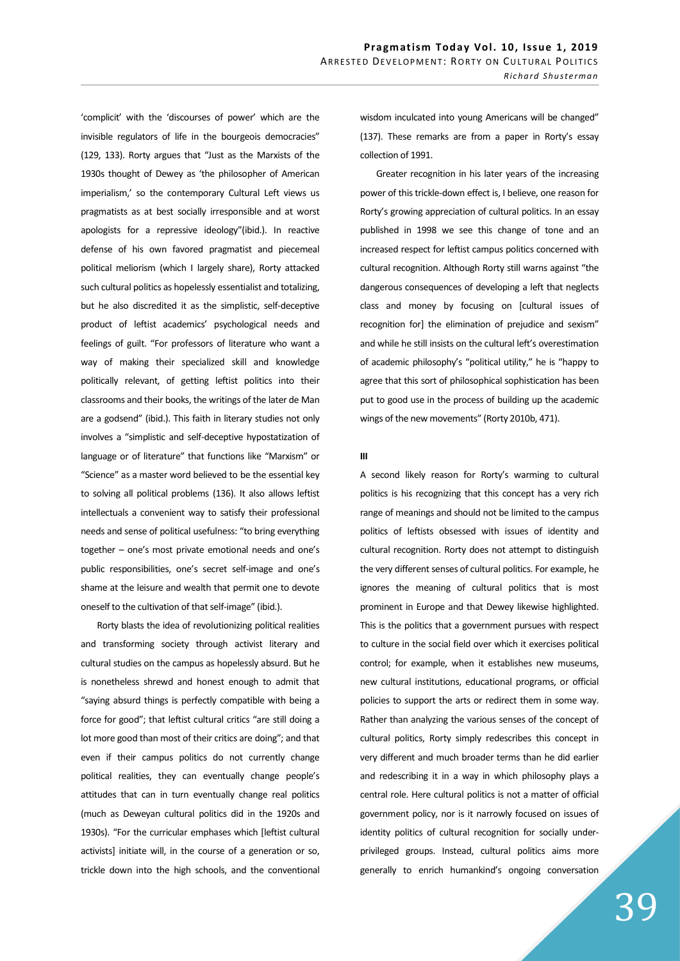'complicit' with the 'discourses of power' which are the invisible regulators of life in the bourgeois democracies" (129, 133). Rorty argues that "Just as the Marxists of the 1930s thought of Dewey as 'the philosopher of American imperialism,' so the contemporary Cultural Left views us pragmatists as at best socially irresponsible and at worst apologists for a repressive ideology"(ibid.). In reactive defense of his own favored pragmatist and piecemeal political meliorism (which I largely share), Rorty attacked such cultural politics as hopelessly essentialist and totalizing, but he also discredited it as the simplistic, self-deceptive product of leftist academics' psychological needs and feelings of guilt. "For professors of literature who want a way of making their specialized skill and knowledge politically relevant, of getting leftist politics into their classrooms and their books, the writings of the later de Man are a godsend" (ibid.). This faith in literary studies not only involves a "simplistic and self-deceptive hypostatization of language or of literature" that functions like "Marxism" or "Science" as a master word believed to be the essential key to solving all political problems (136). It also allows leftist intellectuals a convenient way to satisfy their professional needs and sense of political usefulness: "to bring everything together – one's most private emotional needs and one's public responsibilities, one's secret self-image and one's shame at the leisure and wealth that permit one to devote oneself to the cultivation of that self-image" (ibid.).

Rorty blasts the idea of revolutionizing political realities and transforming society through activist literary and cultural studies on the campus as hopelessly absurd. But he is nonetheless shrewd and honest enough to admit that "saying absurd things is perfectly compatible with being a force for good"; that leftist cultural critics "are still doing a lot more good than most of their critics are doing"; and that even if their campus politics do not currently change political realities, they can eventually change people's attitudes that can in turn eventually change real politics (much as Deweyan cultural politics did in the 1920s and 1930s). "For the curricular emphases which [leftist cultural activists] initiate will, in the course of a generation or so, trickle down into the high schools, and the conventional

wisdom inculcated into young Americans will be changed" (137). These remarks are from a paper in Rorty's essay collection of 1991.

Greater recognition in his later years of the increasing power of this trickle-down effect is, I believe, one reason for Rorty's growing appreciation of cultural politics. In an essay published in 1998 we see this change of tone and an increased respect for leftist campus politics concerned with cultural recognition. Although Rorty still warns against "the dangerous consequences of developing a left that neglects class and money by focusing on [cultural issues of recognition for] the elimination of prejudice and sexism" and while he still insists on the cultural left's overestimation of academic philosophy's "political utility," he is "happy to agree that this sort of philosophical sophistication has been put to good use in the process of building up the academic wings of the new movements" (Rorty 2010b, 471).

### III

A second likely reason for Rorty's warming to cultural politics is his recognizing that this concept has a very rich range of meanings and should not be limited to the campus politics of leftists obsessed with issues of identity and cultural recognition. Rorty does not attempt to distinguish the very different senses of cultural politics. For example, he ignores the meaning of cultural politics that is most prominent in Europe and that Dewey likewise highlighted. This is the politics that a government pursues with respect to culture in the social field over which it exercises political control; for example, when it establishes new museums, new cultural institutions, educational programs, or official policies to support the arts or redirect them in some way. Rather than analyzing the various senses of the concept of cultural politics, Rorty simply redescribes this concept in very different and much broader terms than he did earlier and redescribing it in a way in which philosophy plays a central role. Here cultural politics is not a matter of official government policy, nor is it narrowly focused on issues of identity politics of cultural recognition for socially underprivileged groups. Instead, cultural politics aims more generally to enrich humankind's ongoing conversation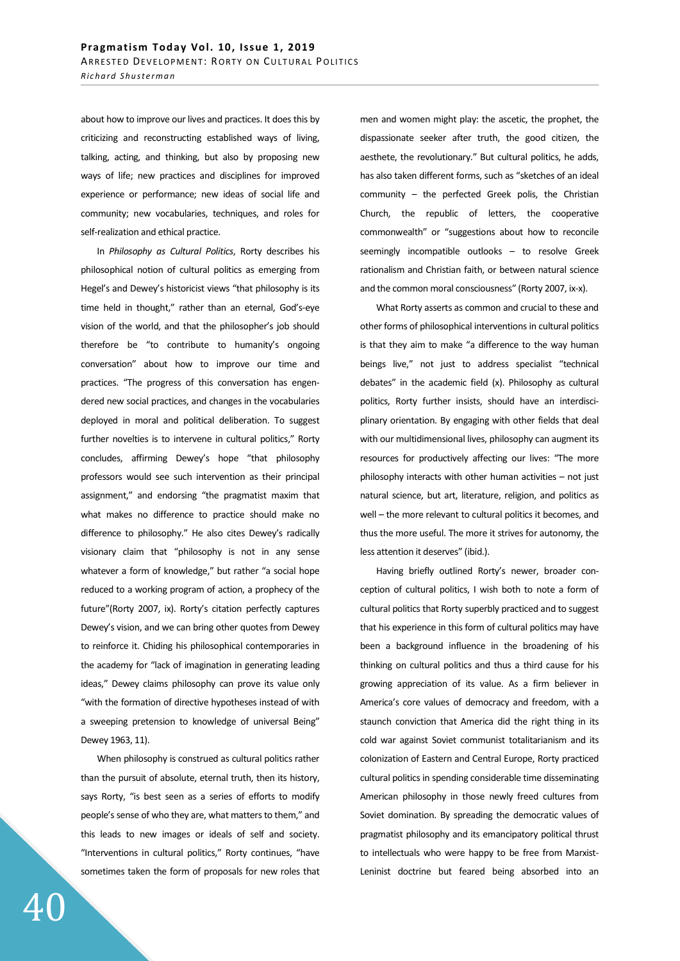about how to improve our lives and practices. It does this by criticizing and reconstructing established ways of living, talking, acting, and thinking, but also by proposing new ways of life; new practices and disciplines for improved experience or performance; new ideas of social life and community; new vocabularies, techniques, and roles for self-realization and ethical practice.

In Philosophy as Cultural Politics, Rorty describes his philosophical notion of cultural politics as emerging from Hegel's and Dewey's historicist views "that philosophy is its time held in thought," rather than an eternal, God's-eye vision of the world, and that the philosopher's job should therefore be "to contribute to humanity's ongoing conversation" about how to improve our time and practices. "The progress of this conversation has engendered new social practices, and changes in the vocabularies deployed in moral and political deliberation. To suggest further novelties is to intervene in cultural politics," Rorty concludes, affirming Dewey's hope "that philosophy professors would see such intervention as their principal assignment," and endorsing "the pragmatist maxim that what makes no difference to practice should make no difference to philosophy." He also cites Dewey's radically visionary claim that "philosophy is not in any sense whatever a form of knowledge," but rather "a social hope reduced to a working program of action, a prophecy of the future"(Rorty 2007, ix). Rorty's citation perfectly captures Dewey's vision, and we can bring other quotes from Dewey to reinforce it. Chiding his philosophical contemporaries in the academy for "lack of imagination in generating leading ideas," Dewey claims philosophy can prove its value only "with the formation of directive hypotheses instead of with a sweeping pretension to knowledge of universal Being" Dewey 1963, 11).

When philosophy is construed as cultural politics rather than the pursuit of absolute, eternal truth, then its history, says Rorty, "is best seen as a series of efforts to modify people's sense of who they are, what matters to them," and this leads to new images or ideals of self and society. "Interventions in cultural politics," Rorty continues, "have sometimes taken the form of proposals for new roles that men and women might play: the ascetic, the prophet, the dispassionate seeker after truth, the good citizen, the aesthete, the revolutionary." But cultural politics, he adds, has also taken different forms, such as "sketches of an ideal community – the perfected Greek polis, the Christian Church, the republic of letters, the cooperative commonwealth" or "suggestions about how to reconcile seemingly incompatible outlooks – to resolve Greek rationalism and Christian faith, or between natural science and the common moral consciousness" (Rorty 2007, ix-x).

What Rorty asserts as common and crucial to these and other forms of philosophical interventions in cultural politics is that they aim to make "a difference to the way human beings live," not just to address specialist "technical debates" in the academic field (x). Philosophy as cultural politics, Rorty further insists, should have an interdisciplinary orientation. By engaging with other fields that deal with our multidimensional lives, philosophy can augment its resources for productively affecting our lives: "The more philosophy interacts with other human activities – not just natural science, but art, literature, religion, and politics as well – the more relevant to cultural politics it becomes, and thus the more useful. The more it strives for autonomy, the less attention it deserves" (ibid.).

Having briefly outlined Rorty's newer, broader conception of cultural politics, I wish both to note a form of cultural politics that Rorty superbly practiced and to suggest that his experience in this form of cultural politics may have been a background influence in the broadening of his thinking on cultural politics and thus a third cause for his growing appreciation of its value. As a firm believer in America's core values of democracy and freedom, with a staunch conviction that America did the right thing in its cold war against Soviet communist totalitarianism and its colonization of Eastern and Central Europe, Rorty practiced cultural politics in spending considerable time disseminating American philosophy in those newly freed cultures from Soviet domination. By spreading the democratic values of pragmatist philosophy and its emancipatory political thrust to intellectuals who were happy to be free from Marxist-Leninist doctrine but feared being absorbed into an

40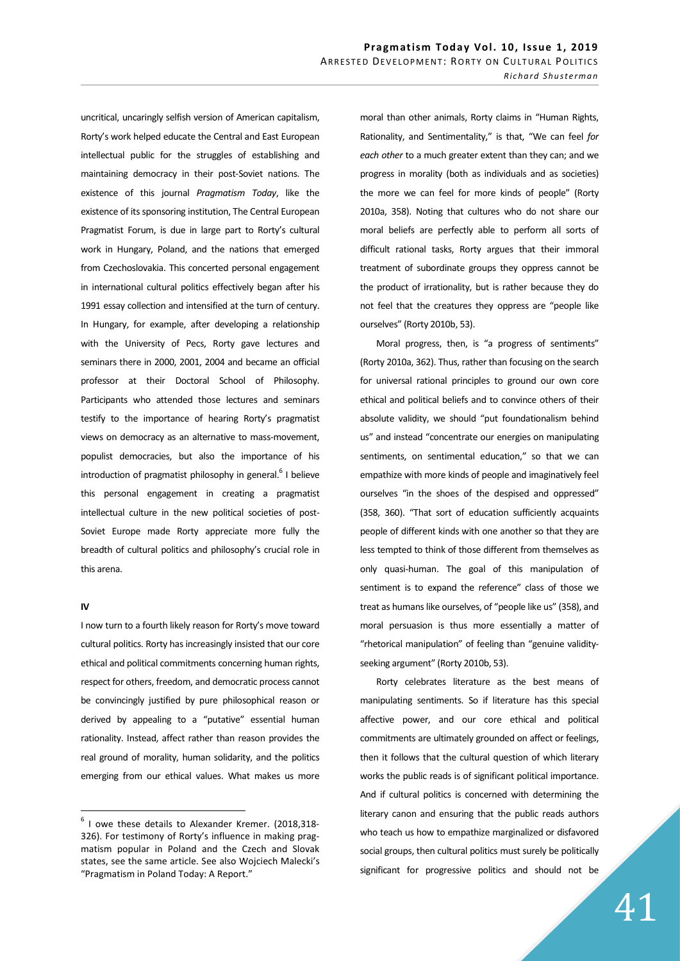uncritical, uncaringly selfish version of American capitalism, Rorty's work helped educate the Central and East European intellectual public for the struggles of establishing and maintaining democracy in their post-Soviet nations. The existence of this journal Pragmatism Today, like the existence of its sponsoring institution, The Central European Pragmatist Forum, is due in large part to Rorty's cultural work in Hungary, Poland, and the nations that emerged from Czechoslovakia. This concerted personal engagement in international cultural politics effectively began after his 1991 essay collection and intensified at the turn of century. In Hungary, for example, after developing a relationship with the University of Pecs, Rorty gave lectures and seminars there in 2000, 2001, 2004 and became an official professor at their Doctoral School of Philosophy. Participants who attended those lectures and seminars testify to the importance of hearing Rorty's pragmatist views on democracy as an alternative to mass-movement, populist democracies, but also the importance of his introduction of pragmatist philosophy in general.<sup>6</sup> I believe this personal engagement in creating a pragmatist intellectual culture in the new political societies of post-Soviet Europe made Rorty appreciate more fully the breadth of cultural politics and philosophy's crucial role in this arena.

## IV

 $\overline{a}$ 

I now turn to a fourth likely reason for Rorty's move toward cultural politics. Rorty has increasingly insisted that our core ethical and political commitments concerning human rights, respect for others, freedom, and democratic process cannot be convincingly justified by pure philosophical reason or derived by appealing to a "putative" essential human rationality. Instead, affect rather than reason provides the real ground of morality, human solidarity, and the politics emerging from our ethical values. What makes us more

moral than other animals, Rorty claims in "Human Rights, Rationality, and Sentimentality," is that, "We can feel for each other to a much greater extent than they can; and we progress in morality (both as individuals and as societies) the more we can feel for more kinds of people" (Rorty 2010a, 358). Noting that cultures who do not share our moral beliefs are perfectly able to perform all sorts of difficult rational tasks, Rorty argues that their immoral treatment of subordinate groups they oppress cannot be the product of irrationality, but is rather because they do not feel that the creatures they oppress are "people like ourselves" (Rorty 2010b, 53).

Moral progress, then, is "a progress of sentiments" (Rorty 2010a, 362). Thus, rather than focusing on the search for universal rational principles to ground our own core ethical and political beliefs and to convince others of their absolute validity, we should "put foundationalism behind us" and instead "concentrate our energies on manipulating sentiments, on sentimental education," so that we can empathize with more kinds of people and imaginatively feel ourselves "in the shoes of the despised and oppressed" (358, 360). "That sort of education sufficiently acquaints people of different kinds with one another so that they are less tempted to think of those different from themselves as only quasi-human. The goal of this manipulation of sentiment is to expand the reference" class of those we treat as humans like ourselves, of "people like us" (358), and moral persuasion is thus more essentially a matter of "rhetorical manipulation" of feeling than "genuine validityseeking argument" (Rorty 2010b, 53).

Rorty celebrates literature as the best means of manipulating sentiments. So if literature has this special affective power, and our core ethical and political commitments are ultimately grounded on affect or feelings, then it follows that the cultural question of which literary works the public reads is of significant political importance. And if cultural politics is concerned with determining the literary canon and ensuring that the public reads authors who teach us how to empathize marginalized or disfavored social groups, then cultural politics must surely be politically significant for progressive politics and should not be

<sup>&</sup>lt;sup>6</sup> I owe these details to Alexander Kremer. (2018,318-326). For testimony of Rorty's influence in making pragmatism popular in Poland and the Czech and Slovak states, see the same article. See also Wojciech Malecki's "Pragmatism in Poland Today: A Report."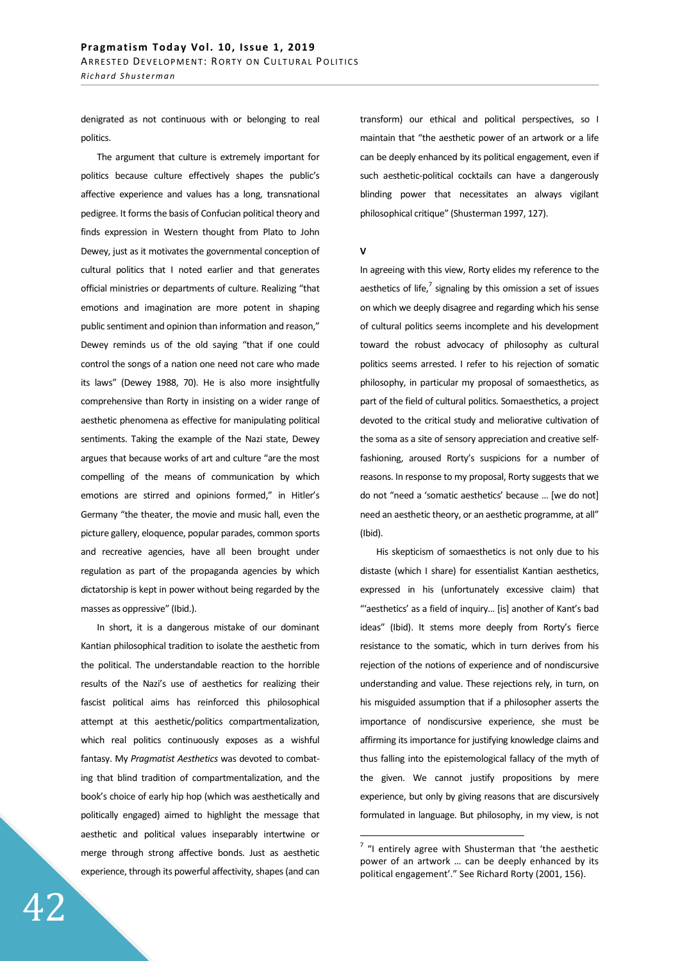denigrated as not continuous with or belonging to real politics.

The argument that culture is extremely important for politics because culture effectively shapes the public's affective experience and values has a long, transnational pedigree. It forms the basis of Confucian political theory and finds expression in Western thought from Plato to John Dewey, just as it motivates the governmental conception of cultural politics that I noted earlier and that generates official ministries or departments of culture. Realizing "that emotions and imagination are more potent in shaping public sentiment and opinion than information and reason," Dewey reminds us of the old saying "that if one could control the songs of a nation one need not care who made its laws" (Dewey 1988, 70). He is also more insightfully comprehensive than Rorty in insisting on a wider range of aesthetic phenomena as effective for manipulating political sentiments. Taking the example of the Nazi state, Dewey argues that because works of art and culture "are the most compelling of the means of communication by which emotions are stirred and opinions formed," in Hitler's Germany "the theater, the movie and music hall, even the picture gallery, eloquence, popular parades, common sports and recreative agencies, have all been brought under regulation as part of the propaganda agencies by which dictatorship is kept in power without being regarded by the masses as oppressive" (Ibid.).

In short, it is a dangerous mistake of our dominant Kantian philosophical tradition to isolate the aesthetic from the political. The understandable reaction to the horrible results of the Nazi's use of aesthetics for realizing their fascist political aims has reinforced this philosophical attempt at this aesthetic/politics compartmentalization, which real politics continuously exposes as a wishful fantasy. My Pragmatist Aesthetics was devoted to combating that blind tradition of compartmentalization, and the book's choice of early hip hop (which was aesthetically and politically engaged) aimed to highlight the message that aesthetic and political values inseparably intertwine or merge through strong affective bonds. Just as aesthetic experience, through its powerful affectivity, shapes (and can transform) our ethical and political perspectives, so I maintain that "the aesthetic power of an artwork or a life can be deeply enhanced by its political engagement, even if such aesthetic-political cocktails can have a dangerously blinding power that necessitates an always vigilant philosophical critique" (Shusterman 1997, 127).

### V

-

In agreeing with this view, Rorty elides my reference to the aesthetics of life, $^7$  signaling by this omission a set of issues on which we deeply disagree and regarding which his sense of cultural politics seems incomplete and his development toward the robust advocacy of philosophy as cultural politics seems arrested. I refer to his rejection of somatic philosophy, in particular my proposal of somaesthetics, as part of the field of cultural politics. Somaesthetics, a project devoted to the critical study and meliorative cultivation of the soma as a site of sensory appreciation and creative selffashioning, aroused Rorty's suspicions for a number of reasons. In response to my proposal, Rorty suggests that we do not "need a 'somatic aesthetics' because … [we do not] need an aesthetic theory, or an aesthetic programme, at all" (Ibid).

His skepticism of somaesthetics is not only due to his distaste (which I share) for essentialist Kantian aesthetics, expressed in his (unfortunately excessive claim) that "'aesthetics' as a field of inquiry… [is] another of Kant's bad ideas" (Ibid). It stems more deeply from Rorty's fierce resistance to the somatic, which in turn derives from his rejection of the notions of experience and of nondiscursive understanding and value. These rejections rely, in turn, on his misguided assumption that if a philosopher asserts the importance of nondiscursive experience, she must be affirming its importance for justifying knowledge claims and thus falling into the epistemological fallacy of the myth of the given. We cannot justify propositions by mere experience, but only by giving reasons that are discursively formulated in language. But philosophy, in my view, is not

 $7$  "I entirely agree with Shusterman that 'the aesthetic power of an artwork … can be deeply enhanced by its political engagement'." See Richard Rorty (2001, 156).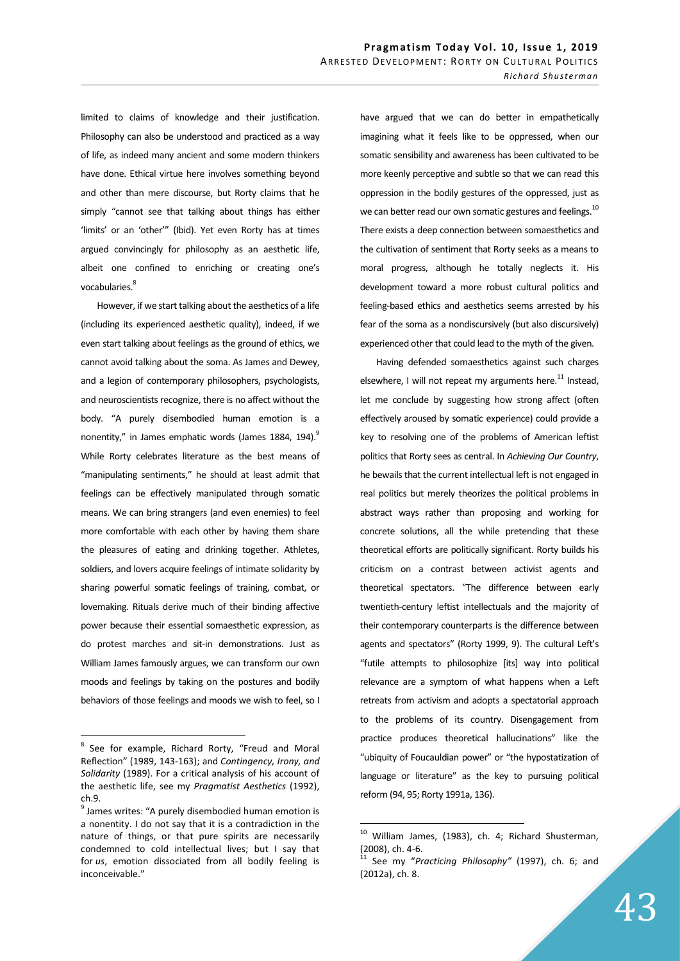limited to claims of knowledge and their justification. Philosophy can also be understood and practiced as a way of life, as indeed many ancient and some modern thinkers have done. Ethical virtue here involves something beyond and other than mere discourse, but Rorty claims that he simply "cannot see that talking about things has either 'limits' or an 'other'" (Ibid). Yet even Rorty has at times argued convincingly for philosophy as an aesthetic life, albeit one confined to enriching or creating one's vocabularies.<sup>8</sup>

However, if we start talking about the aesthetics of a life (including its experienced aesthetic quality), indeed, if we even start talking about feelings as the ground of ethics, we cannot avoid talking about the soma. As James and Dewey, and a legion of contemporary philosophers, psychologists, and neuroscientists recognize, there is no affect without the body. "A purely disembodied human emotion is a nonentity," in James emphatic words (James 1884, 194). $9$ While Rorty celebrates literature as the best means of "manipulating sentiments," he should at least admit that feelings can be effectively manipulated through somatic means. We can bring strangers (and even enemies) to feel more comfortable with each other by having them share the pleasures of eating and drinking together. Athletes, soldiers, and lovers acquire feelings of intimate solidarity by sharing powerful somatic feelings of training, combat, or lovemaking. Rituals derive much of their binding affective power because their essential somaesthetic expression, as do protest marches and sit-in demonstrations. Just as William James famously argues, we can transform our own moods and feelings by taking on the postures and bodily behaviors of those feelings and moods we wish to feel, so I

 $\overline{a}$ 

have argued that we can do better in empathetically imagining what it feels like to be oppressed, when our somatic sensibility and awareness has been cultivated to be more keenly perceptive and subtle so that we can read this oppression in the bodily gestures of the oppressed, just as we can better read our own somatic gestures and feelings. $^{10}$ There exists a deep connection between somaesthetics and the cultivation of sentiment that Rorty seeks as a means to moral progress, although he totally neglects it. His development toward a more robust cultural politics and feeling-based ethics and aesthetics seems arrested by his fear of the soma as a nondiscursively (but also discursively) experienced other that could lead to the myth of the given.

Having defended somaesthetics against such charges elsewhere, I will not repeat my arguments here. $^{11}$  Instead, let me conclude by suggesting how strong affect (often effectively aroused by somatic experience) could provide a key to resolving one of the problems of American leftist politics that Rorty sees as central. In Achieving Our Country, he bewails that the current intellectual left is not engaged in real politics but merely theorizes the political problems in abstract ways rather than proposing and working for concrete solutions, all the while pretending that these theoretical efforts are politically significant. Rorty builds his criticism on a contrast between activist agents and theoretical spectators. "The difference between early twentieth-century leftist intellectuals and the majority of their contemporary counterparts is the difference between agents and spectators" (Rorty 1999, 9). The cultural Left's "futile attempts to philosophize [its] way into political relevance are a symptom of what happens when a Left retreats from activism and adopts a spectatorial approach to the problems of its country. Disengagement from practice produces theoretical hallucinations" like the "ubiquity of Foucauldian power" or "the hypostatization of language or literature" as the key to pursuing political reform (94, 95; Rorty 1991a, 136).

-

<sup>&</sup>lt;sup>8</sup> See for example, Richard Rorty, "Freud and Moral Reflection" (1989, 143-163); and Contingency, Irony, and Solidarity (1989). For a critical analysis of his account of the aesthetic life, see my Pragmatist Aesthetics (1992), ch.9.

<sup>&</sup>lt;sup>9</sup> James writes: "A purely disembodied human emotion is a nonentity. I do not say that it is a contradiction in the nature of things, or that pure spirits are necessarily condemned to cold intellectual lives; but I say that for us, emotion dissociated from all bodily feeling is inconceivable."

<sup>10</sup> William James, (1983), ch. 4; Richard Shusterman, (2008), ch. 4-6.

See my "Practicing Philosophy" (1997), ch. 6; and (2012a), ch. 8.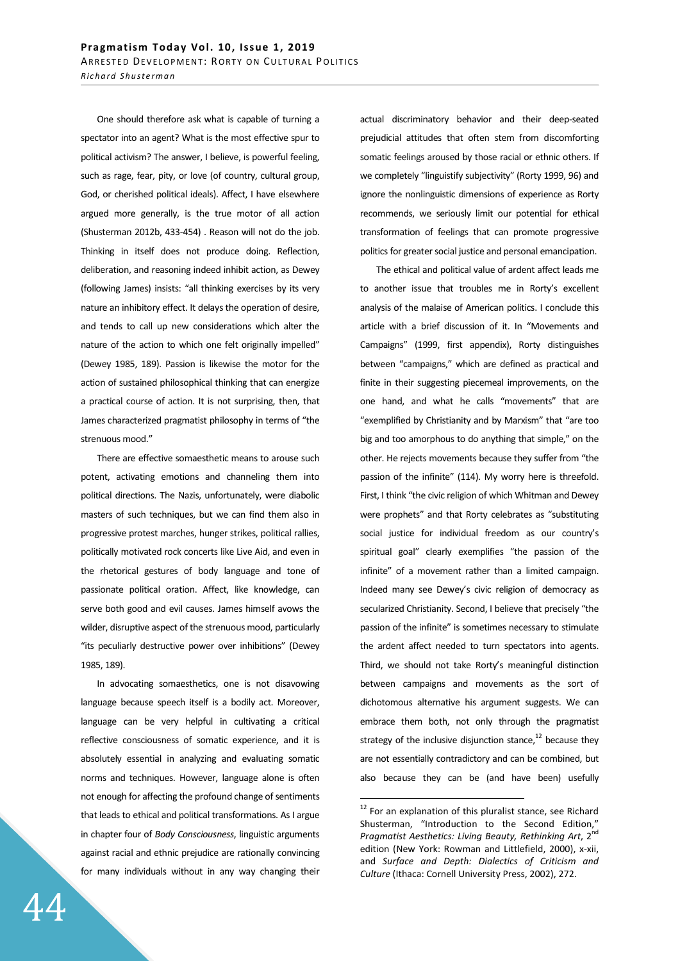One should therefore ask what is capable of turning a spectator into an agent? What is the most effective spur to political activism? The answer, I believe, is powerful feeling, such as rage, fear, pity, or love (of country, cultural group, God, or cherished political ideals). Affect, I have elsewhere argued more generally, is the true motor of all action (Shusterman 2012b, 433-454) . Reason will not do the job. Thinking in itself does not produce doing. Reflection, deliberation, and reasoning indeed inhibit action, as Dewey (following James) insists: "all thinking exercises by its very nature an inhibitory effect. It delays the operation of desire, and tends to call up new considerations which alter the nature of the action to which one felt originally impelled" (Dewey 1985, 189). Passion is likewise the motor for the action of sustained philosophical thinking that can energize a practical course of action. It is not surprising, then, that James characterized pragmatist philosophy in terms of "the strenuous mood."

There are effective somaesthetic means to arouse such potent, activating emotions and channeling them into political directions. The Nazis, unfortunately, were diabolic masters of such techniques, but we can find them also in progressive protest marches, hunger strikes, political rallies, politically motivated rock concerts like Live Aid, and even in the rhetorical gestures of body language and tone of passionate political oration. Affect, like knowledge, can serve both good and evil causes. James himself avows the wilder, disruptive aspect of the strenuous mood, particularly "its peculiarly destructive power over inhibitions" (Dewey 1985, 189).

In advocating somaesthetics, one is not disavowing language because speech itself is a bodily act. Moreover, language can be very helpful in cultivating a critical reflective consciousness of somatic experience, and it is absolutely essential in analyzing and evaluating somatic norms and techniques. However, language alone is often not enough for affecting the profound change of sentiments that leads to ethical and political transformations. As I argue in chapter four of Body Consciousness, linguistic arguments against racial and ethnic prejudice are rationally convincing for many individuals without in any way changing their actual discriminatory behavior and their deep-seated prejudicial attitudes that often stem from discomforting somatic feelings aroused by those racial or ethnic others. If we completely "linguistify subjectivity" (Rorty 1999, 96) and ignore the nonlinguistic dimensions of experience as Rorty recommends, we seriously limit our potential for ethical transformation of feelings that can promote progressive politics for greater social justice and personal emancipation.

The ethical and political value of ardent affect leads me to another issue that troubles me in Rorty's excellent analysis of the malaise of American politics. I conclude this article with a brief discussion of it. In "Movements and Campaigns" (1999, first appendix), Rorty distinguishes between "campaigns," which are defined as practical and finite in their suggesting piecemeal improvements, on the one hand, and what he calls "movements" that are "exemplified by Christianity and by Marxism" that "are too big and too amorphous to do anything that simple," on the other. He rejects movements because they suffer from "the passion of the infinite" (114). My worry here is threefold. First, I think "the civic religion of which Whitman and Dewey were prophets" and that Rorty celebrates as "substituting social justice for individual freedom as our country's spiritual goal" clearly exemplifies "the passion of the infinite" of a movement rather than a limited campaign. Indeed many see Dewey's civic religion of democracy as secularized Christianity. Second, I believe that precisely "the passion of the infinite" is sometimes necessary to stimulate the ardent affect needed to turn spectators into agents. Third, we should not take Rorty's meaningful distinction between campaigns and movements as the sort of dichotomous alternative his argument suggests. We can embrace them both, not only through the pragmatist strategy of the inclusive disjunction stance, $12$  because they are not essentially contradictory and can be combined, but also because they can be (and have been) usefully

-

 $12$  For an explanation of this pluralist stance, see Richard Shusterman, "Introduction to the Second Edition," Pragmatist Aesthetics: Living Beauty, Rethinking Art, 2<sup>nd</sup> edition (New York: Rowman and Littlefield, 2000), x-xii, and Surface and Depth: Dialectics of Criticism and Culture (Ithaca: Cornell University Press, 2002), 272.